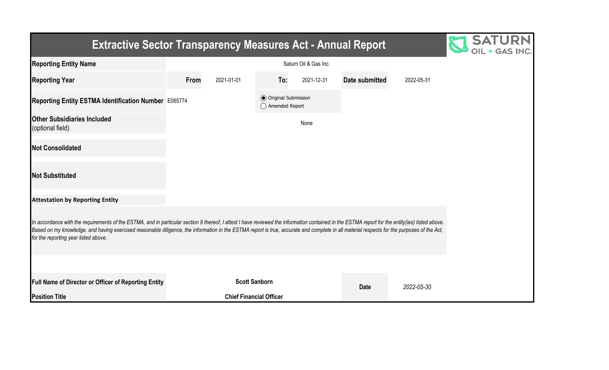| <b>Extractive Sector Transparency Measures Act - Annual Report</b>                                                                                                                                                                                                                                                                                                                                                                    |      |            |                                                  |            |                |            |  |
|---------------------------------------------------------------------------------------------------------------------------------------------------------------------------------------------------------------------------------------------------------------------------------------------------------------------------------------------------------------------------------------------------------------------------------------|------|------------|--------------------------------------------------|------------|----------------|------------|--|
| <b>Reporting Entity Name</b>                                                                                                                                                                                                                                                                                                                                                                                                          |      |            |                                                  |            |                |            |  |
| <b>Reporting Year</b>                                                                                                                                                                                                                                                                                                                                                                                                                 | From | 2021-01-01 | To:                                              | 2021-12-31 | Date submitted | 2022-05-31 |  |
| Reporting Entity ESTMA Identification Number E065774                                                                                                                                                                                                                                                                                                                                                                                  |      |            | <b>◎</b> Original Submission<br>◯ Amended Report |            |                |            |  |
| <b>Other Subsidiaries Included</b><br>(optional field)                                                                                                                                                                                                                                                                                                                                                                                |      |            |                                                  | None       |                |            |  |
| <b>Not Consolidated</b>                                                                                                                                                                                                                                                                                                                                                                                                               |      |            |                                                  |            |                |            |  |
| <b>Not Substituted</b>                                                                                                                                                                                                                                                                                                                                                                                                                |      |            |                                                  |            |                |            |  |
| <b>Attestation by Reporting Entity</b>                                                                                                                                                                                                                                                                                                                                                                                                |      |            |                                                  |            |                |            |  |
| In accordance with the requirements of the ESTMA, and in particular section 9 thereof, I attest I have reviewed the information contained in the ESTMA report for the entity(ies) listed above.<br>Based on my knowledge, and having exercised reasonable diligence, the information in the ESTMA report is true, accurate and complete in all material respects for the purposes of the Act,<br>for the reporting year listed above. |      |            |                                                  |            |                |            |  |
|                                                                                                                                                                                                                                                                                                                                                                                                                                       |      |            |                                                  |            |                |            |  |
| <b>Full Name of Director or Officer of Reporting Entity</b>                                                                                                                                                                                                                                                                                                                                                                           |      |            | <b>Scott Sanborn</b>                             |            | <b>Date</b>    | 2022-05-30 |  |
| <b>Position Title</b>                                                                                                                                                                                                                                                                                                                                                                                                                 |      |            | <b>Chief Financial Officer</b>                   |            |                |            |  |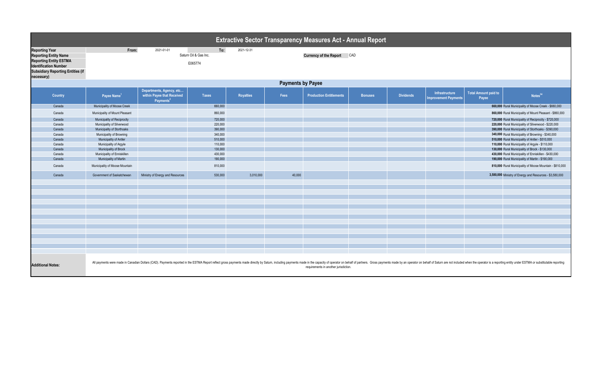| <b>Extractive Sector Transparency Measures Act - Annual Report</b>                                                                                                               |                                                                                                                   |                                                                                 |                    |                  |        |                                       |                |                  |                                               |                                      |                                                                                                                                                                                                                                |  |  |
|----------------------------------------------------------------------------------------------------------------------------------------------------------------------------------|-------------------------------------------------------------------------------------------------------------------|---------------------------------------------------------------------------------|--------------------|------------------|--------|---------------------------------------|----------------|------------------|-----------------------------------------------|--------------------------------------|--------------------------------------------------------------------------------------------------------------------------------------------------------------------------------------------------------------------------------|--|--|
| <b>Reporting Year</b><br><b>Reporting Entity Name</b><br><b>Reporting Entity ESTMA</b><br><b>Identification Number</b><br><b>Subsidiary Reporting Entities (if</b><br>necessary) | To:<br>From:<br>2021-01-01<br>2021-12-31<br>Saturn Oil & Gas Inc.<br><b>Currency of the Report CAD</b><br>E065774 |                                                                                 |                    |                  |        |                                       |                |                  |                                               |                                      |                                                                                                                                                                                                                                |  |  |
|                                                                                                                                                                                  | <b>Payments by Payee</b>                                                                                          |                                                                                 |                    |                  |        |                                       |                |                  |                                               |                                      |                                                                                                                                                                                                                                |  |  |
| <b>Country</b>                                                                                                                                                                   | Payee Name <sup>1</sup>                                                                                           | Departments, Agency, etc<br>within Payee that Received<br>Payments <sup>2</sup> | <b>Taxes</b>       | <b>Royalties</b> | Fees   | <b>Production Entitlements</b>        | <b>Bonuses</b> | <b>Dividends</b> | Infrastructure<br><b>Improvement Payments</b> | <b>Total Amount paid to</b><br>Payee | Notes <sup>34</sup>                                                                                                                                                                                                            |  |  |
| Canada                                                                                                                                                                           | Municipality of Moose Creek                                                                                       |                                                                                 | 660,000            |                  |        |                                       |                |                  |                                               |                                      | 660,000 Rural Municipality of Moose Creek - \$660,000                                                                                                                                                                          |  |  |
| Canada                                                                                                                                                                           | Municipality of Mount Pleasant                                                                                    |                                                                                 | 860,000            |                  |        |                                       |                |                  |                                               |                                      | 860,000 Rural Municipality of Mount Pleasant - \$860,000                                                                                                                                                                       |  |  |
| Canada                                                                                                                                                                           | Municipality of Reciprocity                                                                                       |                                                                                 | 720,000            |                  |        |                                       |                |                  |                                               |                                      | 720,000 Rural Municipality of Reciprocity - \$720,000                                                                                                                                                                          |  |  |
| Canada                                                                                                                                                                           | Municipality of Silverwood                                                                                        |                                                                                 | 220,000            |                  |        |                                       |                |                  |                                               |                                      | 220,000 Rural Municipality of Silverwood - \$220,000                                                                                                                                                                           |  |  |
| Canada                                                                                                                                                                           | <b>Municipality of Storthoaks</b>                                                                                 |                                                                                 | 390,000            |                  |        |                                       |                |                  |                                               |                                      | 390,000 Rural Municipality of Storthoaks - \$390,000                                                                                                                                                                           |  |  |
| Canada<br>Canada                                                                                                                                                                 | Municipality of Browning                                                                                          |                                                                                 | 340,000            |                  |        |                                       |                |                  |                                               |                                      | 340,000 Rural Municipality of Browning - \$340,000                                                                                                                                                                             |  |  |
| Canada                                                                                                                                                                           | Municipality of Antler<br>Municipality of Argyle                                                                  |                                                                                 | 510,000<br>110,000 |                  |        |                                       |                |                  |                                               |                                      | 510,000 Rural Municipality of Antler - \$510,000<br>110,000 Rural Municipality of Argyle - \$110,000                                                                                                                           |  |  |
| Canada                                                                                                                                                                           | <b>Municipality of Brock</b>                                                                                      |                                                                                 | 130,000            |                  |        |                                       |                |                  |                                               |                                      | 130,000 Rural Municipality of Brock - \$130,000                                                                                                                                                                                |  |  |
| Canada                                                                                                                                                                           | Municipality of Enniskillen                                                                                       |                                                                                 | 430,000            |                  |        |                                       |                |                  |                                               |                                      | 430,000 Rural Municipality of Enniskillen - \$430,000                                                                                                                                                                          |  |  |
| Canada                                                                                                                                                                           | Municipality of Martin                                                                                            |                                                                                 | 190,000            |                  |        |                                       |                |                  |                                               |                                      | 190,000 Rural Municipality of Martin - \$190,000                                                                                                                                                                               |  |  |
| Canada                                                                                                                                                                           | Municipality of Moose Mountain                                                                                    |                                                                                 | 810,000            |                  |        |                                       |                |                  |                                               |                                      | 810,000 Rural Municipality of Moose Mountain - \$810,000                                                                                                                                                                       |  |  |
| Canada                                                                                                                                                                           | Government of Saskatchewan                                                                                        | Ministry of Energy and Resources                                                | 530,000            | 3,010,000        | 40,000 |                                       |                |                  |                                               |                                      | 3,580,000 Ministry of Energy and Resources - \$3,580,000                                                                                                                                                                       |  |  |
|                                                                                                                                                                                  |                                                                                                                   |                                                                                 |                    |                  |        |                                       |                |                  |                                               |                                      |                                                                                                                                                                                                                                |  |  |
|                                                                                                                                                                                  |                                                                                                                   |                                                                                 |                    |                  |        |                                       |                |                  |                                               |                                      |                                                                                                                                                                                                                                |  |  |
|                                                                                                                                                                                  |                                                                                                                   |                                                                                 |                    |                  |        |                                       |                |                  |                                               |                                      |                                                                                                                                                                                                                                |  |  |
|                                                                                                                                                                                  |                                                                                                                   |                                                                                 |                    |                  |        |                                       |                |                  |                                               |                                      |                                                                                                                                                                                                                                |  |  |
|                                                                                                                                                                                  |                                                                                                                   |                                                                                 |                    |                  |        |                                       |                |                  |                                               |                                      |                                                                                                                                                                                                                                |  |  |
|                                                                                                                                                                                  |                                                                                                                   |                                                                                 |                    |                  |        |                                       |                |                  |                                               |                                      |                                                                                                                                                                                                                                |  |  |
|                                                                                                                                                                                  |                                                                                                                   |                                                                                 |                    |                  |        |                                       |                |                  |                                               |                                      |                                                                                                                                                                                                                                |  |  |
|                                                                                                                                                                                  |                                                                                                                   |                                                                                 |                    |                  |        |                                       |                |                  |                                               |                                      |                                                                                                                                                                                                                                |  |  |
|                                                                                                                                                                                  |                                                                                                                   |                                                                                 |                    |                  |        |                                       |                |                  |                                               |                                      |                                                                                                                                                                                                                                |  |  |
|                                                                                                                                                                                  |                                                                                                                   |                                                                                 |                    |                  |        |                                       |                |                  |                                               |                                      |                                                                                                                                                                                                                                |  |  |
|                                                                                                                                                                                  |                                                                                                                   |                                                                                 |                    |                  |        |                                       |                |                  |                                               |                                      |                                                                                                                                                                                                                                |  |  |
|                                                                                                                                                                                  |                                                                                                                   |                                                                                 |                    |                  |        |                                       |                |                  |                                               |                                      |                                                                                                                                                                                                                                |  |  |
|                                                                                                                                                                                  |                                                                                                                   |                                                                                 |                    |                  |        |                                       |                |                  |                                               |                                      |                                                                                                                                                                                                                                |  |  |
| <b>Additional Notes:</b>                                                                                                                                                         |                                                                                                                   |                                                                                 |                    |                  |        | requirements in another jurisdiction. |                |                  |                                               |                                      | All payments were made in Canadian Dollars (CAD). Payments reported in the ESTMA Report reflect gross payments made directly by Saturn, including payments made in the capacity of operator on behalf of partners. Gross payme |  |  |